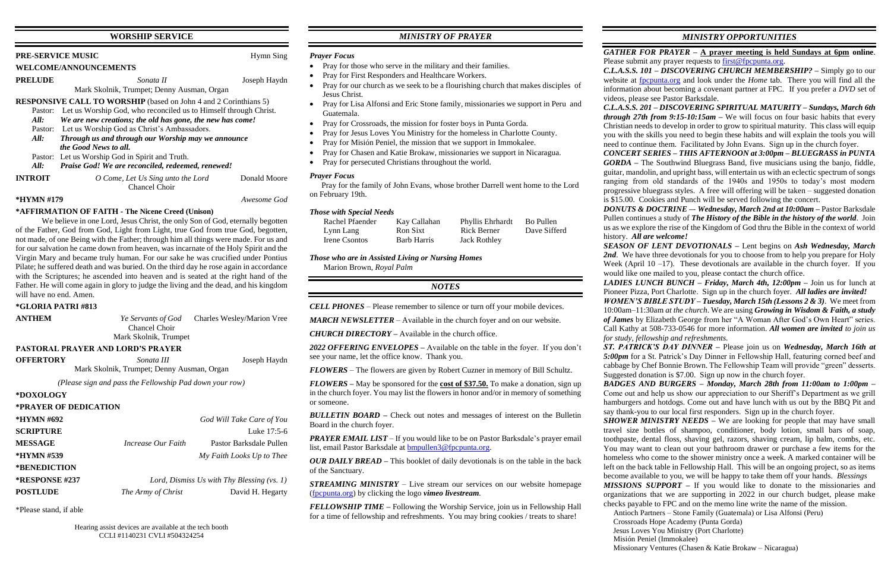### **WORSHIP SERVICE**

#### **PRE-SERVICE MUSIC** Hymn Sing

#### **WELCOME/ANNOUNCEMENTS**

**PRELUDE** *Sonata II* Joseph Haydn

## Mark Skolnik, Trumpet; Denny Ausman, Organ

**RESPONSIVE CALL TO WORSHIP** (based on John 4 and 2 Corinthians 5)

- Pastor: Let us Worship God, who reconciled us to Himself through Christ.
	- *All: We are new creations; the old has gone, the new has come!*
	- Pastor: Let us Worship God as Christ's Ambassadors.
	- *All: Through us and through our Worship may we announce the Good News to all.*
	- Pastor: Let us Worship God in Spirit and Truth.
	- *All: Praise God! We are reconciled, redeemed, renewed!*
- **INTROIT** *O Come, Let Us Sing unto the Lord* Donald Moore Chancel Choir

#### **\*HYMN #179** *Awesome God*

#### **\*AFFIRMATION OF FAITH - The Nicene Creed (Unison)**

We believe in one Lord, Jesus Christ, the only Son of God, eternally begotten of the Father, God from God, Light from Light, true God from true God, begotten, not made, of one Being with the Father; through him all things were made. For us and for our salvation he came down from heaven, was incarnate of the Holy Spirit and the Virgin Mary and became truly human. For our sake he was crucified under Pontius Pilate; he suffered death and was buried. On the third day he rose again in accordance with the Scriptures; he ascended into heaven and is seated at the right hand of the Father. He will come again in glory to judge the living and the dead, and his kingdom will have no end. Amen.

#### **\*GLORIA PATRI #813**

**ANTHEM** *Ye Servants of God* Charles Wesley/Marion Vree Chancel Choir

Mark Skolnik, Trumpet

## **PASTORAL PRAYER AND LORD'S PRAYER**

**OFFERTORY** *Sonata III* Joseph Haydn Mark Skolnik, Trumpet; Denny Ausman, Organ

*(Please sign and pass the Fellowship Pad down your row)*

#### **\*DOXOLOGY**

#### **\*PRAYER OF DEDICATION**

| *HYMN #692       |                                              | God Will Take Care of You |  |
|------------------|----------------------------------------------|---------------------------|--|
| <b>SCRIPTURE</b> |                                              | Luke 17:5-6               |  |
| <b>MESSAGE</b>   | Increase Our Faith                           | Pastor Barksdale Pullen   |  |
| *HYMN #539       |                                              | My Faith Looks Up to Thee |  |
| *BENEDICTION     |                                              |                           |  |
| *RESPONSE #237   | Lord, Dismiss Us with Thy Blessing $(vs. 1)$ |                           |  |
| <b>POSTLUDE</b>  | The Army of Christ                           | David H. Hegarty          |  |

\*Please stand, if able

# *MINISTRY OF PRAYER*

#### *Prayer Focus*

- Pray for those who serve in the military and their families.
- Pray for First Responders and Healthcare Workers.
- Pray for our church as we seek to be a flourishing church that makes disciples of Jesus Christ.
- Pray for Lisa Alfonsi and Eric Stone family, missionaries we support in Peru and Guatemala.
- Pray for Crossroads, the mission for foster boys in Punta Gorda.
- Pray for Jesus Loves You Ministry for the homeless in Charlotte County.
- Pray for Misión Peniel, the mission that we support in Immokalee.
- Pray for Chasen and Katie Brokaw, missionaries we support in Nicaragua.
- Pray for persecuted Christians throughout the world.

#### *Prayer Focus*

 Pray for the family of John Evans, whose brother Darrell went home to the Lord on February 19th.

#### *Those with Special Needs*

| Rachel Pfaender | Kay Callahan       | Phyllis Ehrhardt    | Bo Pullen    |
|-----------------|--------------------|---------------------|--------------|
| Lynn Lang       | Ron Sixt           | Rick Berner         | Dave Sifferd |
| Irene Csontos   | <b>Barb Harris</b> | <b>Jack Rothley</b> |              |

*Those who are in Assisted Living or Nursing Homes* Marion Brown, *Royal Palm*

#### *NOTES*

*CELL PHONES –* Please remember to silence or turn off your mobile devices.

*MARCH NEWSLETTER –* Available in the church foyer and on our website.

*CHURCH DIRECTORY –* Available in the church office.

*2022 OFFERING ENVELOPES –* Available on the table in the foyer. If you don't see your name, let the office know. Thank you.

*FLOWERS* – The flowers are given by Robert Cuzner in memory of Bill Schultz.

*FLOWERS –* May be sponsored for the **cost of \$37.50.** To make a donation, sign up in the church foyer. You may list the flowers in honor and/or in memory of something or someone.

*BULLETIN BOARD –* Check out notes and messages of interest on the Bulletin Board in the church foyer.

*PRAYER EMAIL LIST –* If you would like to be on Pastor Barksdale's prayer email list, email Pastor Barksdale at [bmpullen3@fpcpunta.org.](about:blank)

*OUR DAILY BREAD –* This booklet of daily devotionals is on the table in the back of the Sanctuary.

*STREAMING MINISTRY –* Live stream our services on our website homepage [\(fpcpunta.org\)](about:blank) by clicking the logo *vimeo livestream.*

Please submit any prayer requests to [first@fpcpunta.org.](about:blank) videos, please see Pastor Barksdale. history. *All are welcome! for study, fellowship and refreshments.* Crossroads Hope Academy (Punta Gorda) Jesus Loves You Ministry (Port Charlotte)

*FELLOWSHIP TIME –* Following the Worship Service, join us in Fellowship Hall for a time of fellowship and refreshments. You may bring cookies / treats to share!

*MINISTRY OPPORTUNITIES*

*GATHER FOR PRAYER –* **A prayer meeting is held Sundays at 6pm online**.

*C.L.A.S.S. 101 – DISCOVERING CHURCH MEMBERSHIP? –* Simply go to our website at [fpcpunta.org](about:blank) and look under the *Home* tab. There you will find all the information about becoming a covenant partner at FPC. If you prefer a *DVD* set of

*C.L.A.S.S. 201 – DISCOVERING SPIRITUAL MATURITY – Sundays, March 6th through 27th from 9:15-10:15am –* We will focus on four basic habits that every Christian needs to develop in order to grow to spiritual maturity. This class will equip you with the skills you need to begin these habits and will explain the tools you will need to continue them. Facilitated by John Evans. Sign up in the church foyer.

*CONCERT SERIES – THIS AFTERNOON at 3:00pm – BLUEGRASS in PUNTA GORDA –* The Southwind Bluegrass Band, five musicians using the banjo, fiddle, guitar, mandolin, and upright bass, will entertain us with an eclectic spectrum of songs ranging from old standards of the 1940s and 1950s to today's most modern progressive bluegrass styles. A free will offering will be taken – suggested donation is \$15.00. Cookies and Punch will be served following the concert.

*DONUTS & DOCTRINE –*- *Wednesday, March 2nd at 10:00am –* Pastor Barksdale Pullen continues a study of *The History of the Bible in the history of the world*. Join us as we explore the rise of the Kingdom of God thru the Bible in the context of world

*SEASON OF LENT DEVOTIONALS –* Lent begins on *Ash Wednesday, March*  **2nd**. We have three devotionals for you to choose from to help you prepare for Holy Week (April 10 –17). These devotionals are available in the church foyer. If you would like one mailed to you, please contact the church office.

*LADIES LUNCH BUNCH – Friday, March 4th, 12:00pm –* Join us for lunch at Pioneer Pizza, Port Charlotte. Sign up in the church foyer. *All ladies are invited!*

*WOMEN'S BIBLE STUDY – Tuesday, March 15th (Lessons 2 & 3)*. We meet from 10:00am–11:30am *at the church*. We are using *Growing in Wisdom & Faith, a study of James* by Elizabeth George from her "A Woman After God's Own Heart" series. Call Kathy at 508-733-0546 for more information. *All women are invited to join us* 

*ST. PATRICK'S DAY DINNER –* Please join us on *Wednesday, March 16th at 5:00pm* for a St. Patrick's Day Dinner in Fellowship Hall, featuring corned beef and cabbage by Chef Bonnie Brown. The Fellowship Team will provide "green" desserts. Suggested donation is \$7.00. Sign up now in the church foyer.

*BADGES AND BURGERS – Monday, March 28th from 11:00am to 1:00pm –* Come out and help us show our appreciation to our Sheriff's Department as we grill hamburgers and hotdogs. Come out and have lunch with us out by the BBQ Pit and say thank-you to our local first responders. Sign up in the church foyer.

*SHOWER MINISTRY NEEDS –* We are looking for people that may have small travel size bottles of shampoo, conditioner, body lotion, small bars of soap, toothpaste, dental floss, shaving gel, razors, shaving cream, lip balm, combs, etc. You may want to clean out your bathroom drawer or purchase a few items for the homeless who come to the shower ministry once a week. A marked container will be left on the back table in Fellowship Hall. This will be an ongoing project, so as items become available to you, we will be happy to take them off your hands. *Blessings*

*MISSIONS SUPPORT –* If you would like to donate to the missionaries and organizations that we are supporting in 2022 in our church budget, please make checks payable to FPC and on the memo line write the name of the mission.

Antioch Partners – Stone Family (Guatemala) or Lisa Alfonsi (Peru)

Misión Peniel (Immokalee)

Missionary Ventures (Chasen & Katie Brokaw – Nicaragua)